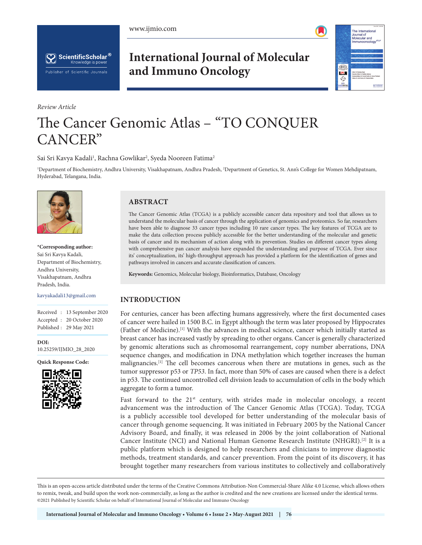





*Review Article*

# **International Journal of Molecular and Immuno Oncology**



# The Cancer Genomic Atlas – "TO CONQUER CANCER"

Sai Sri Kavya Kadali<sup>1</sup>, Rachna Gowlikar<sup>2</sup>, Syeda Nooreen Fatima<sup>2</sup>

1 Department of Biochemistry, Andhra University, Visakhapatnam, Andhra Pradesh, 2 Department of Genetics, St. Ann's College for Women Mehdipatnam, Hyderabad, Telangana, India.



**\*Corresponding author:**  Sai Sri Kavya Kadali, Department of Biochemistry, Andhra University, Visakhapatnam, Andhra Pradesh, India.

kavyakadali13@gmail.com

Received : 13 September 2020 Accepted : 20 October 2020 Published : 29 May 2021

**DOI:** [10.25259/IJMIO\\_28\\_2020](https://dx.doi.org/10.25259/IJMIO_28_2020)

**Quick Response Code:**



## **ABSTRACT**

The Cancer Genomic Atlas (TCGA) is a publicly accessible cancer data repository and tool that allows us to understand the molecular basis of cancer through the application of genomics and proteomics. So far, researchers have been able to diagnose 33 cancer types including 10 rare cancer types. The key features of TCGA are to make the data collection process publicly accessible for the better understanding of the molecular and genetic basis of cancer and its mechanism of action along with its prevention. Studies on different cancer types along with comprehensive pan cancer analysis have expanded the understanding and purpose of TCGA. Ever since its' conceptualization, its' high-throughput approach has provided a platform for the identification of genes and pathways involved in cancers and accurate classification of cancers.

**Keywords:** Genomics, Molecular biology, Bioinformatics, Database, Oncology

## **INTRODUCTION**

For centuries, cancer has been affecting humans aggressively, where the first documented cases of cancer were hailed in 1500 B.C. in Egypt although the term was later proposed by Hippocrates (Father of Medicine).[1] With the advances in medical science, cancer which initially started as breast cancer has increased vastly by spreading to other organs. Cancer is generally characterized by genomic alterations such as chromosomal rearrangement, copy number aberrations, DNA sequence changes, and modification in DNA methylation which together increases the human malignancies.<sup>[1]</sup> The cell becomes cancerous when there are mutations in genes, such as the tumor suppressor p53 or *TP53*. In fact, more than 50% of cases are caused when there is a defect in p53. The continued uncontrolled cell division leads to accumulation of cells in the body which aggregate to form a tumor.

Fast forward to the  $21<sup>st</sup>$  century, with strides made in molecular oncology, a recent advancement was the introduction of The Cancer Genomic Atlas (TCGA). Today, TCGA is a publicly accessible tool developed for better understanding of the molecular basis of cancer through genome sequencing. It was initiated in February 2005 by the National Cancer Advisory Board, and finally, it was released in 2006 by the joint collaboration of National Cancer Institute (NCI) and National Human Genome Research Institute (NHGRI).[2] It is a public platform which is designed to help researchers and clinicians to improve diagnostic methods, treatment standards, and cancer prevention. From the point of its discovery, it has brought together many researchers from various institutes to collectively and collaboratively

This is an open-access article distributed under the terms of the Creative Commons Attribution-Non Commercial-Share Alike 4.0 License, which allows others to remix, tweak, and build upon the work non-commercially, as long as the author is credited and the new creations are licensed under the identical terms. ©2021 Published by Scientific Scholar on behalf of International Journal of Molecular and Immuno Oncology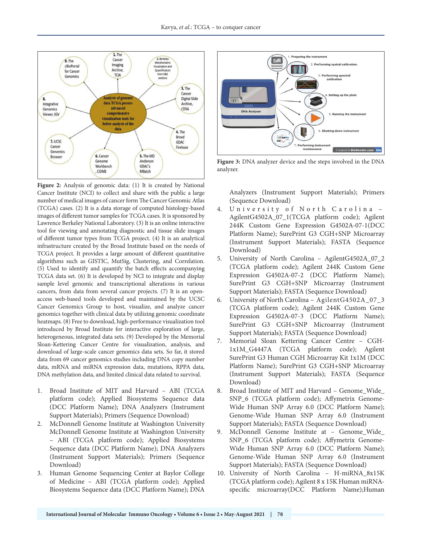

Figure 2: Analysis of genomic data: (1) It is created by National Cancer Institute (NCI) to collect and share with the public a large number of medical images of cancer form The Cancer Genomic Atlas (TCGA) cases. (2) It is a data storage of computed histology-based images of different tumor samples for TCGA cases. It is sponsored by Lawrence Berkeley National Laboratory. (3) It is an online interactive tool for viewing and annotating diagnostic and tissue slide images of different tumor types from TCGA project. (4) It is an analytical infrastructure created by the Broad Institute based on the needs of TCGA project. It provides a large amount of different quantitative algorithms such as GISTIC, MutSig, Clustering, and Correlation. (5) Used to identify and quantify the batch effects accompanying TCGA data set. (6) It is developed by NCI to integrate and display sample level genomic and transcriptional alterations in various cancers, from data from several cancer projects. (7) It is an openaccess web-based tools developed and maintained by the UCSC Cancer Genomics Group to host, visualize, and analyze cancer genomics together with clinical data by utilizing genomic coordinate heatmaps. (8) Free to download, high-performance visualization tool introduced by Broad Institute for interactive exploration of large, heterogeneous, integrated data sets. (9) Developed by the Memorial Sloan-Kettering Cancer Centre for visualization, analysis, and download of large-scale cancer genomics data sets. So far, it stored data from 69 cancer genomics studies including DNA copy number data, mRNA and miRNA expression data, mutations, RPPA data, DNA methylation data, and limited clinical data related to survival.

- 1. Broad Institute of MIT and Harvard ABI (TCGA platform code); Applied Biosystems Sequence data (DCC Platform Name); DNA Analyzers (Instrument Support Materials); Primers (Sequence Download)
- 2. McDonnell Genome Institute at Washington University McDonnell Genome Institute at Washington University – ABI (TCGA platform code); Applied Biosystems Sequence data (DCC Platform Name); DNA Analyzers (Instrument Support Materials); Primers (Sequence Download)
- 3. Human Genome Sequencing Center at Baylor College of Medicine – ABI (TCGA platform code); Applied Biosystems Sequence data (DCC Platform Name); DNA



**Figure 3:** DNA analyzer device and the steps involved in the DNA analyzer.

Analyzers (Instrument Support Materials); Primers (Sequence Download)

- 4. U niversity of North Carolina AgilentG4502A\_07\_1(TCGA platform code); Agilent 244K Custom Gene Expression G4502A-07-1(DCC Platform Name); SurePrint G3 CGH+SNP Microarray (Instrument Support Materials); FASTA (Sequence Download)
- 5. University of North Carolina AgilentG4502A\_07\_2 (TCGA platform code); Agilent 244K Custom Gene Expression G4502A-07-2 (DCC Platform Name); SurePrint G3 CGH+SNP Microarray (Instrument Support Materials); FASTA (Sequence Download)
- 6. University of North Carolina AgilentG4502A\_07\_3 (TCGA platform code); Agilent 244K Custom Gene Expression G4502A-07-3 (DCC Platform Name); SurePrint G3 CGH+SNP Microarray (Instrument Support Materials); FASTA (Sequence Download)
- 7. Memorial Sloan Kettering Cancer Centre CGH-1x1M\_G4447A (TCGA platform code); Agilent SurePrint G3 Human CGH Microarray Kit 1x1M (DCC Platform Name); SurePrint G3 CGH+SNP Microarray (Instrument Support Materials); FASTA (Sequence Download)
- 8. Broad Institute of MIT and Harvard Genome Wide SNP\_6 (TCGA platform code); Affymetrix Genome-Wide Human SNP Array 6.0 (DCC Platform Name); Genome-Wide Human SNP Array 6.0 (Instrument Support Materials); FASTA (Sequence Download)
- 9. McDonnell Genome Institute at Genome\_Wide\_ SNP\_6 (TCGA platform code); Affymetrix Genome-Wide Human SNP Array 6.0 (DCC Platform Name); Genome-Wide Human SNP Array 6.0 (Instrument Support Materials); FASTA (Sequence Download)
- 10. University of North Carolina H-miRNA\_8x15K (TCGA platform code); Agilent 8 x 15K Human miRNAspecific microarray(DCC Platform Name);Human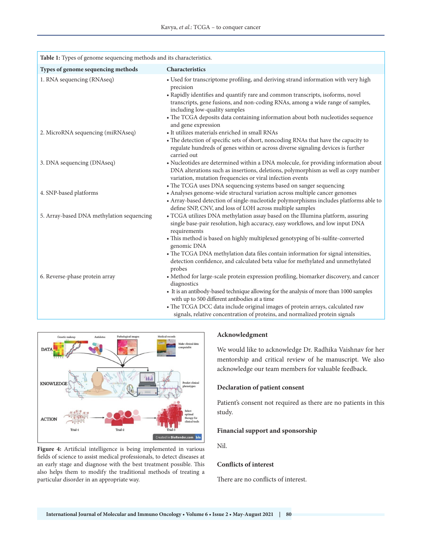| Table 1: Types of genome sequencing methods and its characteristics. |                                                                                                                                                                                                                                                                                                                                                                                                                |
|----------------------------------------------------------------------|----------------------------------------------------------------------------------------------------------------------------------------------------------------------------------------------------------------------------------------------------------------------------------------------------------------------------------------------------------------------------------------------------------------|
| Types of genome sequencing methods                                   | Characteristics                                                                                                                                                                                                                                                                                                                                                                                                |
| 1. RNA sequencing (RNAseq)                                           | • Used for transcriptome profiling, and deriving strand information with very high<br>precision<br>• Rapidly identifies and quantify rare and common transcripts, isoforms, novel<br>transcripts, gene fusions, and non-coding RNAs, among a wide range of samples,<br>including low-quality samples<br>• The TCGA deposits data containing information about both nucleotides sequence<br>and gene expression |
| 2. MicroRNA sequencing (miRNAseq)                                    | • It utilizes materials enriched in small RNAs<br>• The detection of specific sets of short, noncoding RNAs that have the capacity to<br>regulate hundreds of genes within or across diverse signaling devices is further<br>carried out                                                                                                                                                                       |
| 3. DNA sequencing (DNAseq)                                           | • Nucleotides are determined within a DNA molecule, for providing information about<br>DNA alterations such as insertions, deletions, polymorphism as well as copy number<br>variation, mutation frequencies or viral infection events<br>• The TCGA uses DNA sequencing systems based on sanger sequencing                                                                                                    |
| 4. SNP-based platforms                                               | • Analyses genome-wide structural variation across multiple cancer genomes<br>• Array-based detection of single-nucleotide polymorphisms includes platforms able to<br>define SNP, CNV, and loss of LOH across multiple samples                                                                                                                                                                                |
| 5. Array-based DNA methylation sequencing                            | • TCGA utilizes DNA methylation assay based on the Illumina platform, assuring<br>single base-pair resolution, high accuracy, easy workflows, and low input DNA<br>requirements                                                                                                                                                                                                                                |
|                                                                      | • This method is based on highly multiplexed genotyping of bi-sulfite-converted<br>genomic DNA                                                                                                                                                                                                                                                                                                                 |
|                                                                      | • The TCGA DNA methylation data files contain information for signal intensities,<br>detection confidence, and calculated beta value for methylated and unmethylated<br>probes                                                                                                                                                                                                                                 |
| 6. Reverse-phase protein array                                       | • Method for large-scale protein expression profiling, biomarker discovery, and cancer<br>diagnostics                                                                                                                                                                                                                                                                                                          |
|                                                                      | • It is an antibody-based technique allowing for the analysis of more than 1000 samples<br>with up to 500 different antibodies at a time                                                                                                                                                                                                                                                                       |
|                                                                      | • The TCGA DCC data include original images of protein arrays, calculated raw<br>signals, relative concentration of proteins, and normalized protein signals                                                                                                                                                                                                                                                   |



Figure 4: Artificial intelligence is being implemented in various fields of science to assist medical professionals, to detect diseases at an early stage and diagnose with the best treatment possible. This also helps them to modify the traditional methods of treating a particular disorder in an appropriate way.

## **Acknowledgment**

We would like to acknowledge Dr. Radhika Vaishnav for her mentorship and critical review of he manuscript. We also acknowledge our team members for valuable feedback.

#### **Declaration of patient consent**

Patient's consent not required as there are no patients in this study.

#### **Financial support and sponsorship**

Nil.

#### **Conflicts of interest**

There are no conflicts of interest.